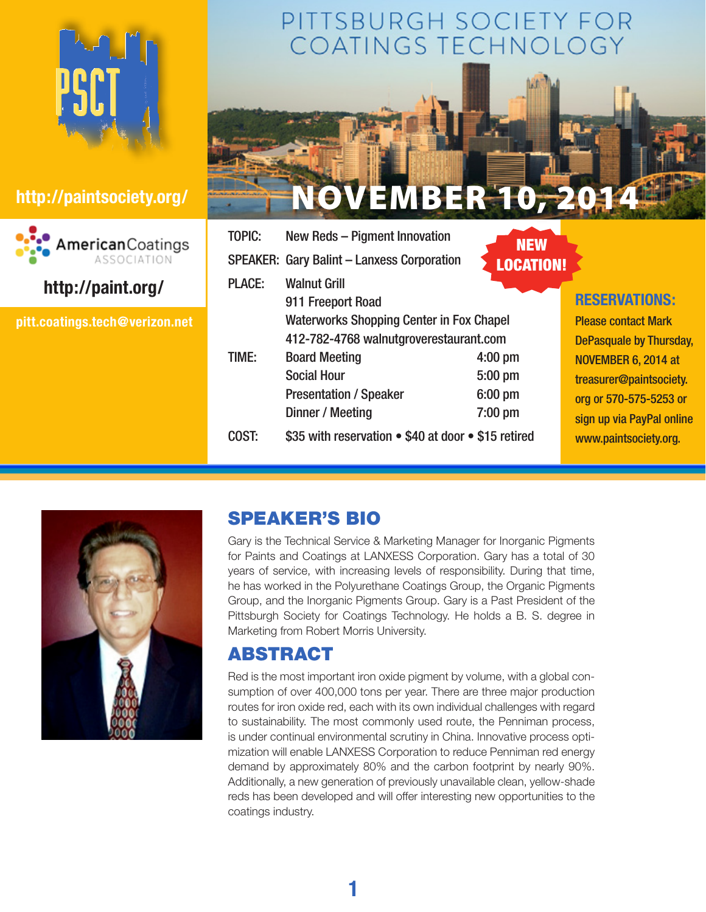



## **http://paint.org/**

**pitt.coatings.tech@verizon.net**

# PITTSBURGH SOCIETY FOR<br>COATINGS TECHNOLOGY



|               | <b>SPEAKER: Gary Balint - Lanxess Corporation</b>   | NEW<br><b>LOCATION!</b> |                                |
|---------------|-----------------------------------------------------|-------------------------|--------------------------------|
| <b>PLACE:</b> | <b>Walnut Grill</b>                                 |                         |                                |
|               | 911 Freeport Road                                   |                         | <b>RESERVATIONS:</b>           |
|               | <b>Waterworks Shopping Center in Fox Chapel</b>     |                         | <b>Please contact Mark</b>     |
|               | 412-782-4768 walnutgroverestaurant.com              |                         | <b>DePasquale by Thursday,</b> |
| TIME:         | <b>Board Meeting</b>                                | $4:00$ pm               | NOVEMBER 6, 2014 at            |
|               | <b>Social Hour</b>                                  | $5:00$ pm               | treasurer@paintsociety.        |
|               | <b>Presentation / Speaker</b>                       | 6:00 pm                 | org or 570-575-5253 or         |
|               | Dinner / Meeting                                    | $7:00$ pm               | sign up via PayPal online      |
| COST:         | \$35 with reservation . \$40 at door . \$15 retired |                         | www.paintsociety.org.          |



## SPEAKER'S BIO

Gary is the Technical Service & Marketing Manager for Inorganic Pigments for Paints and Coatings at LANXESS Corporation. Gary has a total of 30 years of service, with increasing levels of responsibility. During that time, he has worked in the Polyurethane Coatings Group, the Organic Pigments Group, and the Inorganic Pigments Group. Gary is a Past President of the Pittsburgh Society for Coatings Technology. He holds a B. S. degree in Marketing from Robert Morris University.

## ABSTRACT

Red is the most important iron oxide pigment by volume, with a global consumption of over 400,000 tons per year. There are three major production routes for iron oxide red, each with its own individual challenges with regard to sustainability. The most commonly used route, the Penniman process, is under continual environmental scrutiny in China. Innovative process optimization will enable LANXESS Corporation to reduce Penniman red energy demand by approximately 80% and the carbon footprint by nearly 90%. Additionally, a new generation of previously unavailable clean, yellow-shade reds has been developed and will offer interesting new opportunities to the coatings industry.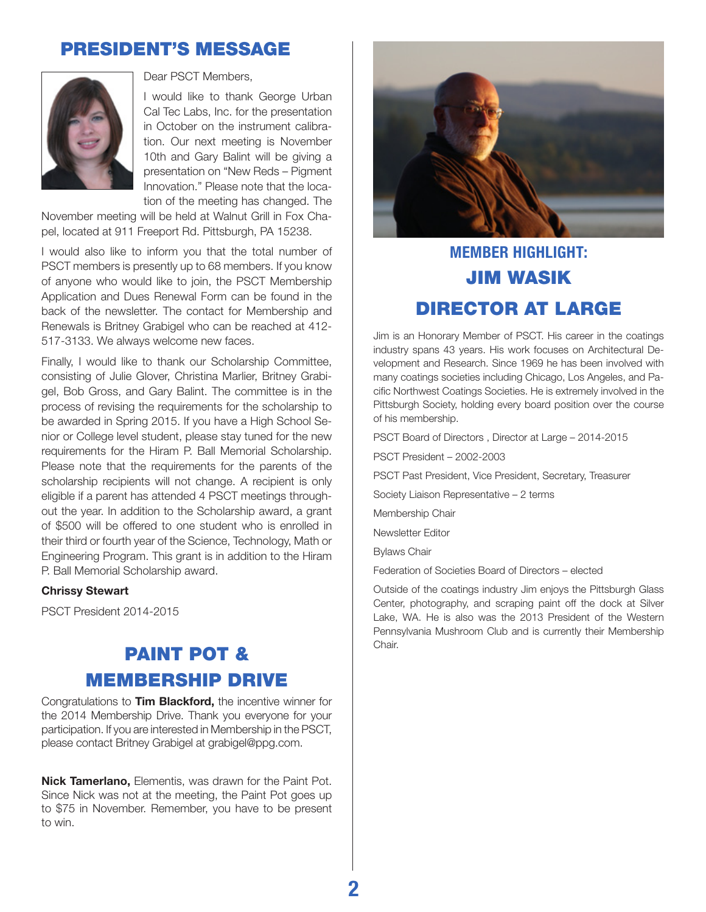## PRESIDENT's MESSAGE



Dear PSCT Members,

I would like to thank George Urban Cal Tec Labs, Inc. for the presentation in October on the instrument calibration. Our next meeting is November 10th and Gary Balint will be giving a presentation on "New Reds – Pigment Innovation." Please note that the location of the meeting has changed. The

November meeting will be held at Walnut Grill in Fox Chapel, located at 911 Freeport Rd. Pittsburgh, PA 15238.

I would also like to inform you that the total number of PSCT members is presently up to 68 members. If you know of anyone who would like to join, the PSCT Membership Application and Dues Renewal Form can be found in the back of the newsletter. The contact for Membership and Renewals is Britney Grabigel who can be reached at 412- 517-3133. We always welcome new faces.

Finally, I would like to thank our Scholarship Committee, consisting of Julie Glover, Christina Marlier, Britney Grabigel, Bob Gross, and Gary Balint. The committee is in the process of revising the requirements for the scholarship to be awarded in Spring 2015. If you have a High School Senior or College level student, please stay tuned for the new requirements for the Hiram P. Ball Memorial Scholarship. Please note that the requirements for the parents of the scholarship recipients will not change. A recipient is only eligible if a parent has attended 4 PSCT meetings throughout the year. In addition to the Scholarship award, a grant of \$500 will be offered to one student who is enrolled in their third or fourth year of the Science, Technology, Math or Engineering Program. This grant is in addition to the Hiram P. Ball Memorial Scholarship award.

#### **Chrissy Stewart**

PSCT President 2014-2015

## PAINT POT & membership drive

Congratulations to **Tim Blackford,** the incentive winner for the 2014 Membership Drive. Thank you everyone for your participation. If you are interested in Membership in the PSCT, please contact Britney Grabigel at grabigel@ppg.com.

**Nick Tamerlano,** Elementis, was drawn for the Paint Pot. Since Nick was not at the meeting, the Paint Pot goes up to \$75 in November. Remember, you have to be present to win.



## **MEMBER HIGHLIGHT:** Jim Wasik Director at Large

Jim is an Honorary Member of PSCT. His career in the coatings industry spans 43 years. His work focuses on Architectural Development and Research. Since 1969 he has been involved with many coatings societies including Chicago, Los Angeles, and Pacific Northwest Coatings Societies. He is extremely involved in the Pittsburgh Society, holding every board position over the course of his membership.

PSCT Board of Directors , Director at Large – 2014-2015

PSCT President – 2002-2003

PSCT Past President, Vice President, Secretary, Treasurer

Society Liaison Representative – 2 terms

Membership Chair

Newsletter Editor

Bylaws Chair

Federation of Societies Board of Directors – elected

Outside of the coatings industry Jim enjoys the Pittsburgh Glass Center, photography, and scraping paint off the dock at Silver Lake, WA. He is also was the 2013 President of the Western Pennsylvania Mushroom Club and is currently their Membership Chair.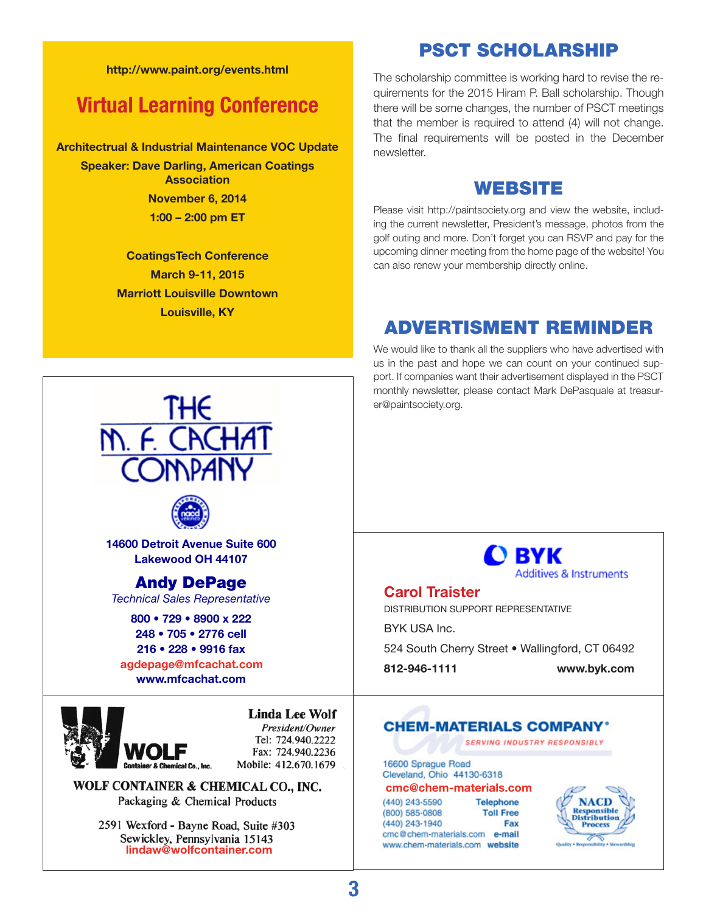#### **http://www.paint.org/events.html**

## **Virtual Learning Conference**

**Architectrual & Industrial Maintenance VOC Update**

**Speaker: Dave Darling, American Coatings Association November 6, 2014 1:00 – 2:00 pm ET**

> **CoatingsTech Conference March 9-11, 2015 Marriott Louisville Downtown Louisville, KY**

The scholarship committee is working hard to revise the requirements for the 2015 Hiram P. Ball scholarship. Though there will be some changes, the number of PSCT meetings that the member is required to attend (4) will not change. The final requirements will be posted in the December newsletter.

PSCT SCHOLARSHIP

#### WEBSITE

Please visit http://paintsociety.org and view the website, including the current newsletter, President's message, photos from the golf outing and more. Don't forget you can RSVP and pay for the upcoming dinner meeting from the home page of the website! You can also renew your membership directly online.

### ADVERTISMENT REMINDER

We would like to thank all the suppliers who have advertised with us in the past and hope we can count on your continued support. If companies want their advertisement displayed in the PSCT monthly newsletter, please contact Mark DePasquale at treasurer@paintsociety.org.





**14600 Detroit Avenue Suite 600 Lakewood OH 44107**

#### Andy DePage

*Technical Sales Representative*

**800 • 729 • 8900 x 222 248 • 705 • 2776 cell 216 • 228 • 9916 fax www.mfcachat.com agdepage@mfcachat.com**



**Linda Lee Wolf** President/Owner

Tel: 724.940.2222 Fax: 724.940.2236 Mobile: 412.670.1679

WOLF CONTAINER & CHEMICAL CO., INC. Packaging & Chemical Products

> 2591 Wexford - Bayne Road, Suite #303 Sewickley, Pennsylvania 15143 **lindaw@wolfcontainer.com**

O BYK Additives & Instruments

#### **Carol Traister**

Distribution Support Representative BYK USA Inc.

524 South Cherry Street • Wallingford, CT 06492

**812-946-1111 www.byk.com**

#### **CHEM-MATERIALS COMPANY'**

**SERVING INDUSTRY RESPONSIBLY** 

#### 16600 Sprague Road Cleveland, Ohio 44130-6318 **cmc@chem-materials.com**

| (440) 243-5590                 | <b>Telephone</b> |
|--------------------------------|------------------|
| (800) 585-0808                 | <b>Toll Free</b> |
| (440) 243-1940                 | Fax              |
| cmc@chem-materials.com         | e-mail           |
| www.chem-materials.com website |                  |

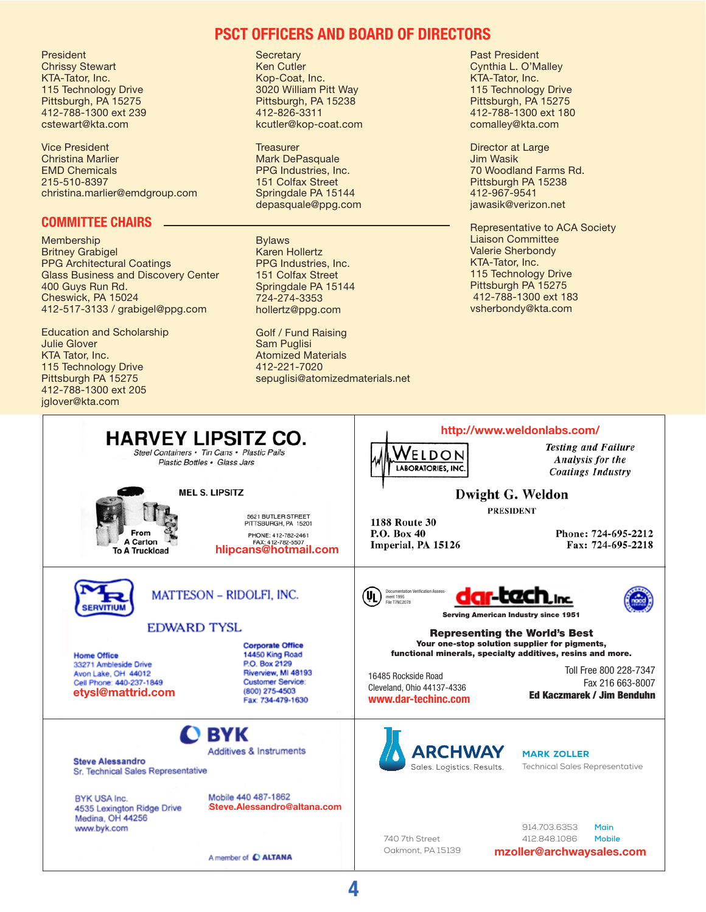President Chrissy Stewart KTA-Tator, Inc. 115 Technology Drive Pittsburgh, PA 15275 412-788-1300 ext 239 cstewart@kta.com

Vice President Christina Marlier EMD Chemicals 215-510-8397 christina.marlier@emdgroup.com

#### **Committee Chairs**

Membership Britney Grabigel PPG Architectural Coatings Glass Business and Discovery Center 400 Guys Run Rd. Cheswick, PA 15024 412-517-3133 / grabigel@ppg.com

Education and Scholarship Julie Glover KTA Tator, Inc. 115 Technology Drive Pittsburgh PA 15275 412-788-1300 ext 205 jglover@kta.com

#### **PSCT Officers and board of directors**

**Secretary** Ken Cutler Kop-Coat, Inc. 3020 William Pitt Way Pittsburgh, PA 15238 412-826-3311 kcutler@kop-coat.com

**Treasurer** Mark DePasquale PPG Industries, Inc. 151 Colfax Street Springdale PA 15144 depasquale@ppg.com

Bylaws Karen Hollertz PPG Industries, Inc. 151 Colfax Street Springdale PA 15144 724-274-3353 hollertz@ppg.com

Golf / Fund Raising Sam Puglisi Atomized Materials 412-221-7020 sepuglisi@atomizedmaterials.net Past President Cynthia L. O'Malley KTA-Tator, Inc. 115 Technology Drive Pittsburgh, PA 15275 412-788-1300 ext 180 comalley@kta.com

Director at Large Jim Wasik 70 Woodland Farms Rd. Pittsburgh PA 15238 412-967-9541 jawasik@verizon.net

Representative to ACA Society Liaison Committee Valerie Sherbondy KTA-Tator, Inc. 115 Technology Drive Pittsburgh PA 15275 412-788-1300 ext 183 vsherbondy@kta.com



**4**